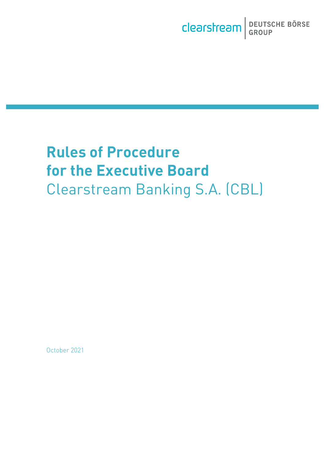# **Rules of Procedure for the Executive Board** Clearstream Banking S.A. (CBL)

October 2021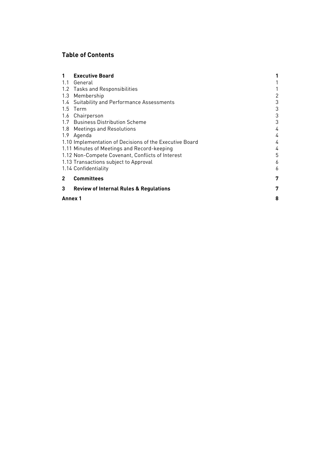# **Table of Contents**

|              | <b>Executive Board</b>                                  |   |
|--------------|---------------------------------------------------------|---|
|              | 1.1 General                                             |   |
|              | 1.2 Tasks and Responsibilities                          |   |
| 1.3          | Membership                                              | 2 |
|              | 1.4 Suitability and Performance Assessments             | 3 |
|              | 1.5 Term                                                | 3 |
|              | 1.6 Chairperson                                         | 3 |
|              | 1.7 Business Distribution Scheme                        | 3 |
|              | 1.8 Meetings and Resolutions                            | 4 |
|              | 1.9 Agenda                                              | 4 |
|              | 1.10 Implementation of Decisions of the Executive Board | 4 |
|              | 1.11 Minutes of Meetings and Record-keeping             | 4 |
|              | 1.12 Non-Compete Covenant, Conflicts of Interest        | 5 |
|              | 1.13 Transactions subject to Approval                   | 6 |
|              | 1.14 Confidentiality                                    | 6 |
| $\mathbf{2}$ | <b>Committees</b>                                       | 7 |
| 3            | <b>Review of Internal Rules &amp; Regulations</b>       | 7 |
| Annex 1      |                                                         |   |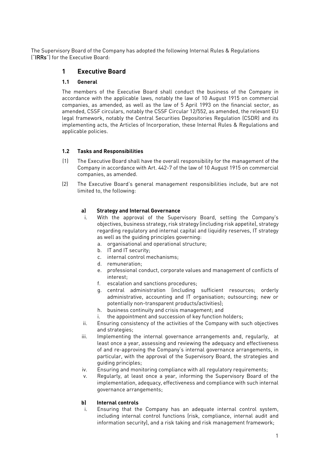<span id="page-2-1"></span><span id="page-2-0"></span>The Supervisory Board of the Company has adopted the following Internal Rules & Regulations ("IRRs") for the Executive Board:

# **1 Executive Board**

### **1.1 General**

The members of the Executive Board shall conduct the business of the Company in accordance with the applicable laws, notably the law of 10 August 1915 on commercial companies, as amended, as well as the law of 5 April 1993 on the financial sector, as amended, CSSF circulars, notably the CSSF Circular 12/552, as amended, the relevant EU legal framework, notably the Central Securities Depositories Regulation (CSDR) and its implementing acts, the Articles of Incorporation, these Internal Rules & Regulations and applicable policies.

## <span id="page-2-2"></span>**1.2 Tasks and Responsibilities**

- (1) The Executive Board shall have the overall responsibility for the management of the Company in accordance with Art. 442-7 of the law of 10 August 1915 on commercial companies, as amended.
- (2) The Executive Board's general management responsibilities include, but are not limited to, the following:

#### **a) Strategy and Internal Governance**

- i. With the approval of the Supervisory Board, setting the Company's objectives, business strategy, risk strategy (including risk appetite), strategy regarding regulatory and internal capital and liquidity reserves, IT strategy as well as the guiding principles governing:
	- a. organisational and operational structure;
	- b. IT and IT security;
	- c. internal control mechanisms;
	- d. remuneration;
	- e. professional conduct, corporate values and management of conflicts of interest;
	- f. escalation and sanctions procedures;
	- g. central administration (including sufficient resources; orderly administrative, accounting and IT organisation; outsourcing; new or potentially non-transparent products/activities);
	- h. business continuity and crisis management; and
	- i. the appointment and succession of key function holders;
- ii. Ensuring consistency of the activities of the Company with such objectives and strategies;
- iii. Implementing the internal governance arrangements and, regularly, at least once a year, assessing and reviewing the adequacy and effectiveness of and re-approving the Company's internal governance arrangements, in particular, with the approval of the Supervisory Board, the strategies and guiding principles;
- iv. Ensuring and monitoring compliance with all regulatory requirements;
- v. Regularly, at least once a year, informing the Supervisory Board of the implementation, adequacy, effectiveness and compliance with such internal governance arrangements;

## **b) Internal controls**

i. Ensuring that the Company has an adequate internal control system, including internal control functions (risk, compliance, internal audit and information security), and a risk taking and risk management framework;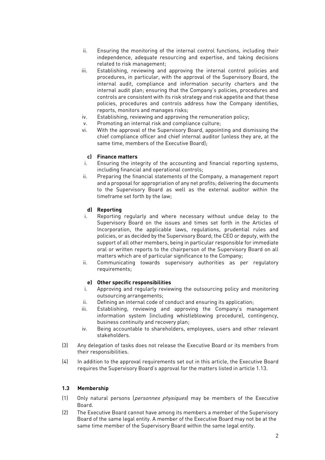- ii. Ensuring the monitoring of the internal control functions, including their independence, adequate resourcing and expertise, and taking decisions related to risk management;
- iii. Establishing, reviewing and approving the internal control policies and procedures, in particular, with the approval of the Supervisory Board, the internal audit, compliance and information security charters and the internal audit plan; ensuring that the Company's policies, procedures and controls are consistent with its risk strategy and risk appetite and that these policies, procedures and controls address how the Company identifies, reports, monitors and manages risks;
- iv. Establishing, reviewing and approving the remuneration policy;
- v. Promoting an internal risk and compliance culture;
- vi. With the approval of the Supervisory Board, appointing and dismissing the chief compliance officer and chief internal auditor (unless they are, at the same time, members of the Executive Board);

#### **c) Finance matters**

- i. Ensuring the integrity of the accounting and financial reporting systems, including financial and operational controls;
- ii. Preparing the financial statements of the Company, a management report and a proposal for appropriation of any net profits; delivering the documents to the Supervisory Board as well as the external auditor within the timeframe set forth by the law;

#### **d) Reporting**

- i. Reporting regularly and where necessary without undue delay to the Supervisory Board on the issues and times set forth in the Articles of Incorporation, the applicable laws, regulations, prudential rules and policies, or as decided by the Supervisory Board; the CEO or deputy, with the support of all other members, being in particular responsible for immediate oral or written reports to the chairperson of the Supervisory Board on all matters which are of particular significance to the Company;
- ii. Communicating towards supervisory authorities as per regulatory requirements;

#### **e) Other specific responsibilities**

- i. Approving and regularly reviewing the outsourcing policy and monitoring outsourcing arrangements;
- ii. Defining an internal code of conduct and ensuring its application;
- iii. Establishing, reviewing and approving the Company's management information system (including whistleblowing procedure), contingency, business continuity and recovery plan;
- iv. Being accountable to shareholders, employees, users and other relevant stakeholders.
- (3) Any delegation of tasks does not release the Executive Board or its members from their responsibilities.
- (4) In addition to the approval requirements set out in this article, the Executive Board requires the Supervisory Board's approval for the matters listed in article 1.13.

#### <span id="page-3-0"></span>**1.3 Membership**

- (1) Only natural persons (personnes physiques) may be members of the Executive Board.
- (2) The Executive Board cannot have among its members a member of the Supervisory Board of the same legal entity. A member of the Executive Board may not be at the same time member of the Supervisory Board within the same legal entity.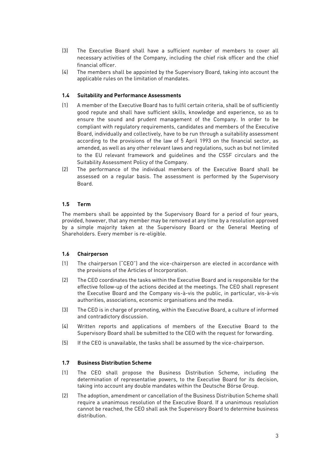- (3) The Executive Board shall have a sufficient number of members to cover all necessary activities of the Company, including the chief risk officer and the chief financial officer.
- (4) The members shall be appointed by the Supervisory Board, taking into account the applicable rules on the limitation of mandates.

#### <span id="page-4-0"></span>**1.4 Suitability and Performance Assessments**

- (1) A member of the Executive Board has to fulfil certain criteria, shall be of sufficiently good repute and shall have sufficient skills, knowledge and experience, so as to ensure the sound and prudent management of the Company. In order to be compliant with regulatory requirements, candidates and members of the Executive Board, individually and collectively, have to be run through a suitability assessment according to the provisions of the law of 5 April 1993 on the financial sector, as amended, as well as any other relevant laws and regulations, such as but not limited to the EU relevant framework and guidelines and the CSSF circulars and the Suitability Assessment Policy of the Company.
- (2) The performance of the individual members of the Executive Board shall be assessed on a regular basis. The assessment is performed by the Supervisory Board.

#### <span id="page-4-1"></span>**1.5 Term**

The members shall be appointed by the Supervisory Board for a period of four years, provided, however, that any member may be removed at any time by a resolution approved by a simple majority taken at the Supervisory Board or the General Meeting of Shareholders. Every member is re-eligible.

#### <span id="page-4-2"></span>**1.6 Chairperson**

- (1) The chairperson ("CEO") and the vice-chairperson are elected in accordance with the provisions of the Articles of Incorporation.
- (2) The CEO coordinates the tasks within the Executive Board and is responsible for the effective follow-up of the actions decided at the meetings. The CEO shall represent the Executive Board and the Company vis-à-vis the public, in particular, vis-à-vis authorities, associations, economic organisations and the media.
- (3) The CEO is in charge of promoting, within the Executive Board, a culture of informed and contradictory discussion.
- (4) Written reports and applications of members of the Executive Board to the Supervisory Board shall be submitted to the CEO with the request for forwarding.
- (5) If the CEO is unavailable, the tasks shall be assumed by the vice-chairperson.

#### <span id="page-4-3"></span>**1.7 Business Distribution Scheme**

- (1) The CEO shall propose the Business Distribution Scheme, including the determination of representative powers, to the Executive Board for its decision, taking into account any double mandates within the Deutsche Börse Group.
- (2) The adoption, amendment or cancellation of the Business Distribution Scheme shall require a unanimous resolution of the Executive Board. If a unanimous resolution cannot be reached, the CEO shall ask the Supervisory Board to determine business distribution.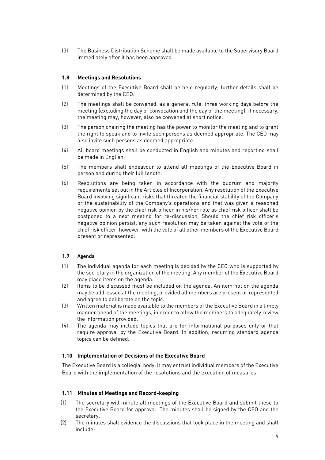(3) The Business Distribution Scheme shall be made available to the Supervisory Board immediately after it has been approved.

#### <span id="page-5-0"></span>**1.8 Meetings and Resolutions**

- (1) Meetings of the Executive Board shall be held regularly; further details shall be determined by the CEO.
- (2) The meetings shall be convened, as a general rule, three working days before the meeting (excluding the day of convocation and the day of the meeting); if necessary, the meeting may, however, also be convened at short notice.
- (3) The person chairing the meeting has the power to monitor the meeting and to grant the right to speak and to invite such persons as deemed appropriate. The CEO may also invite such persons as deemed appropriate.
- (4) All board meetings shall be conducted in English and minutes and reporting shall be made in English.
- (5) The members shall endeavour to attend all meetings of the Executive Board in person and during their full length.
- (6) Resolutions are being taken in accordance with the quorum and majority requirements set out in the Articles of Incorporation. Any resolution of the Executive Board involving significant risks that threaten the financial stability of the Company or the sustainability of the Company's operations and that was given a reasoned negative opinion by the chief risk officer in his/her role as chief risk officer shall be postponed to a next meeting for re-discussion. Should the chief risk officer's negative opinion persist, any such resolution may be taken against the vote of the chief risk officer, however, with the vote of all other members of the Executive Board present or represented.

#### <span id="page-5-1"></span>1.9 **Agenda**

- (1) The individual agenda for each meeting is decided by the CEO who is supported by the secretary in the organization of the meeting. Any member of the Executive Board may place items on the agenda.
- (2) Items to be discussed must be included on the agenda. An item not on the agenda may be addressed at the meeting, provided all members are present or represented and agree to deliberate on the topic.
- (3) Written material is made available to the members of the Executive Board in a timely manner ahead of the meetings, in order to allow the members to adequately review the information provided.
- (4) The agenda may include topics that are for informational purposes only or that require approval by the Executive Board. In addition, recurring standard agenda topics can be defined.

#### <span id="page-5-2"></span>**1.10 Implementation of Decisions of the Executive Board**

The Executive Board is a collegial body. It may entrust individual members of the Executive Board with the implementation of the resolutions and the execution of measures.

#### <span id="page-5-3"></span>**1.11 Minutes of Meetings and Record-keeping**

- (1) The secretary will minute all meetings of the Executive Board and submit these to the Executive Board for approval. The minutes shall be signed by the CEO and the secretary.
- (2) The minutes shall evidence the discussions that took place in the meeting and shall include: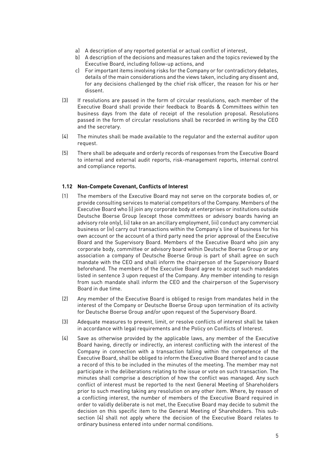- a) A description of any reported potential or actual conflict of interest,
- b) A description of the decisions and measures taken and the topics reviewed by the Executive Board, including follow-up actions, and
- c) For important items involving risks for the Company or for contradictory debates, details of the main considerations and the views taken, including any dissent and, for any decisions challenged by the chief risk officer, the reason for his or her dissent.
- (3) If resolutions are passed in the form of circular resolutions, each member of the Executive Board shall provide their feedback to Boards & Committees within ten business days from the date of receipt of the resolution proposal. Resolutions passed in the form of circular resolutions shall be recorded in writing by the CEO and the secretary.
- (4) The minutes shall be made available to the regulator and the external auditor upon request.
- (5) There shall be adequate and orderly records of responses from the Executive Board to internal and external audit reports, risk-management reports, internal control and compliance reports.

#### <span id="page-6-0"></span>**1.12 Non-Compete Covenant, Conflicts of Interest**

- (1) The members of the Executive Board may not serve on the corporate bodies of, or provide consulting services to material competitors of the Company. Members of the Executive Board who (i) join any corporate body at enterprises or institutions outside Deutsche Boerse Group (except those committees or advisory boards having an advisory role only), (ii) take on an ancillary employment, (iii) conduct any commercial business or (iv) carry out transactions within the Company's line of business for his own account or the account of a third party need the prior approval of the Executive Board and the Supervisory Board. Members of the Executive Board who join any corporate body, committee or advisory board within Deutsche Boerse Group or any association a company of Deutsche Boerse Group is part of shall agree on such mandate with the CEO and shall inform the chairperson of the Supervisory Board beforehand. The members of the Executive Board agree to accept such mandates listed in sentence 3 upon request of the Company. Any member intending to resign from such mandate shall inform the CEO and the chairperson of the Supervisory Board in due time.
- (2) Any member of the Executive Board is obliged to resign from mandates held in the interest of the Company or Deutsche Boerse Group upon termination of its activity for Deutsche Boerse Group and/or upon request of the Supervisory Board.
- (3) Adequate measures to prevent, limit, or resolve conflicts of interest shall be taken in accordance with legal requirements and the Policy on Conflicts of Interest.
- (4) Save as otherwise provided by the applicable laws, any member of the Executive Board having, directly or indirectly, an interest conflicting with the interest of the Company in connection with a transaction falling within the competence of the Executive Board, shall be obliged to inform the Executive Board thereof and to cause a record of this to be included in the minutes of the meeting. The member may not participate in the deliberations relating to the issue or vote on such transaction. The minutes shall comprise a description of how the conflict was managed. Any such conflict of interest must be reported to the next General Meeting of Shareholders prior to such meeting taking any resolution on any other item. Where, by reason of a conflicting interest, the number of members of the Executive Board required in order to validly deliberate is not met, the Executive Board may decide to submit the decision on this specific item to the General Meeting of Shareholders. This subsection (4) shall not apply where the decision of the Executive Board relates to ordinary business entered into under normal conditions.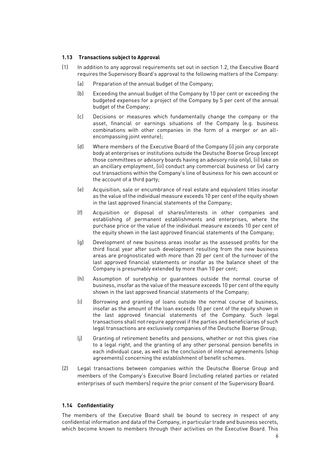#### <span id="page-7-0"></span>**1.13 Transactions subject to Approval**

- (1) In addition to any approval requirements set out in section 1.2, the Executive Board requires the Supervisory Board's approval to the following matters of the Company:
	- (a) Preparation of the annual budget of the Company;
	- (b) Exceeding the annual budget of the Company by 10 per cent or exceeding the budgeted expenses for a project of the Company by 5 per cent of the annual budget of the Company;
	- (c) Decisions or measures which fundamentally change the company or the asset, financial or earnings situations of the Company (e.g. business combinations with other companies in the form of a merger or an allencompassing joint venture);
	- (d) Where members of the Executive Board of the Company (i) join any corporate body at enterprises or institutions outside the Deutsche Boerse Group (except those committees or advisory boards having an advisory role only), (ii) take on an ancillary employment, (iii) conduct any commercial business or (iv) carry out transactions within the Company's line of business for his own account or the account of a third party;
	- (e) Acquisition, sale or encumbrance of real estate and equivalent titles insofar as the value of the individual measure exceeds 10 per cent of the equity shown in the last approved financial statements of the Company;
	- (f) Acquisition or disposal of shares/interests in other companies and establishing of permanent establishments and enterprises, where the purchase price or the value of the individual measure exceeds 10 per cent of the equity shown in the last approved financial statements of the Company;
	- (g) Development of new business areas insofar as the assessed profits for the third fiscal year after such development resulting from the new business areas are prognosticated with more than 20 per cent of the turnover of the last approved financial statements or insofar as the balance sheet of the Company is presumably extended by more than 10 per cent;
	- (h) Assumption of suretyship or guarantees outside the normal course of business, insofar as the value of the measure exceeds 10 per cent of the equity shown in the last approved financial statements of the Company;
	- (i) Borrowing and granting of loans outside the normal course of business, insofar as the amount of the loan exceeds 10 per cent of the equity shown in the last approved financial statements of the Company. Such legal transactions shall not require approval if the parties and beneficiaries of such legal transactions are exclusively companies of the Deutsche Boerse Group;
	- (j) Granting of retirement benefits and pensions, whether or not this gives rise to a legal right, and the granting of any other personal pension benefits in each individual case, as well as the conclusion of internal agreements (shop agreements) concerning the establishment of benefit schemes.
- (2) Legal transactions between companies within the Deutsche Boerse Group and members of the Company's Executive Board (including related parties or related enterprises of such members) require the prior consent of the Supervisory Board.

#### <span id="page-7-1"></span>**1.14 Confidentiality**

The members of the Executive Board shall be bound to secrecy in respect of any confidential information and data of the Company, in particular trade and business secrets, which become known to members through their activities on the Executive Board. This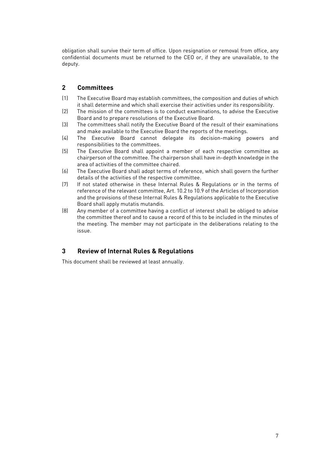obligation shall survive their term of office. Upon resignation or removal from office, any confidential documents must be returned to the CEO or, if they are unavailable, to the deputy.

## <span id="page-8-0"></span>**2 Committees**

- (1) The Executive Board may establish committees, the composition and duties of which it shall determine and which shall exercise their activities under its responsibility.
- (2) The mission of the committees is to conduct examinations, to advise the Executive Board and to prepare resolutions of the Executive Board.
- (3) The committees shall notify the Executive Board of the result of their examinations and make available to the Executive Board the reports of the meetings.
- (4) The Executive Board cannot delegate its decision-making powers and responsibilities to the committees.
- (5) The Executive Board shall appoint a member of each respective committee as chairperson of the committee. The chairperson shall have in-depth knowledge in the area of activities of the committee chaired.
- (6) The Executive Board shall adopt terms of reference, which shall govern the further details of the activities of the respective committee.
- (7) If not stated otherwise in these Internal Rules & Regulations or in the terms of reference of the relevant committee, Art. 10.2 to 10.9 of the Articles of Incorporation and the provisions of these Internal Rules & Regulations applicable to the Executive Board shall apply mutatis mutandis.
- (8) Any member of a committee having a conflict of interest shall be obliged to advise the committee thereof and to cause a record of this to be included in the minutes of the meeting. The member may not participate in the deliberations relating to the issue.

## <span id="page-8-1"></span>**3 Review of Internal Rules & Regulations**

This document shall be reviewed at least annually.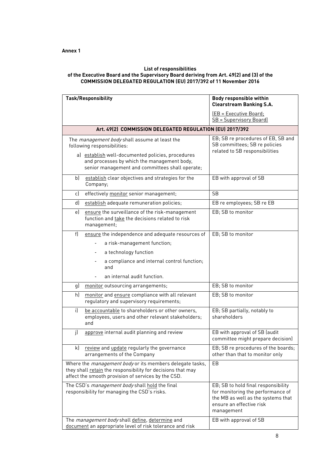#### <span id="page-9-0"></span>**List of responsibilities of the Executive Board and the Supervisory Board deriving from Art. 49(2) and (3) of the COMMISSION DELEGATED REGULATION (EU) 2017/392 of 11 November 2016**

| <b>Task/Responsibility</b>                                                                                                                                                                                                                 | <b>Body responsible within</b><br><b>Clearstream Banking S.A.</b>                                                                                        |  |  |  |
|--------------------------------------------------------------------------------------------------------------------------------------------------------------------------------------------------------------------------------------------|----------------------------------------------------------------------------------------------------------------------------------------------------------|--|--|--|
|                                                                                                                                                                                                                                            | <u> (EB = Executive Board;</u>                                                                                                                           |  |  |  |
|                                                                                                                                                                                                                                            | <b>SB</b> = Supervisory Board)                                                                                                                           |  |  |  |
| Art. 49(2) COMMISSION DELEGATED REGULATION (EU) 2017/392                                                                                                                                                                                   |                                                                                                                                                          |  |  |  |
| The <i>management body</i> shall assume at least the<br>following responsibilities:<br>a) establish well-documented policies, procedures<br>and processes by which the management body,<br>senior management and committees shall operate; | EB; SB re procedures of EB, SB and<br>SB committees; SB re policies<br>related to SB responsibilities                                                    |  |  |  |
| establish clear objectives and strategies for the<br>b)<br>Company;                                                                                                                                                                        | EB with approval of SB                                                                                                                                   |  |  |  |
| effectively monitor senior management;<br>c)                                                                                                                                                                                               | SB                                                                                                                                                       |  |  |  |
| d)<br>establish adequate remuneration policies;                                                                                                                                                                                            | EB re employees; SB re EB                                                                                                                                |  |  |  |
| ensure the surveillance of the risk-management<br>e)<br>function and take the decisions related to risk<br>management;                                                                                                                     | EB: SB to monitor                                                                                                                                        |  |  |  |
| f<br>ensure the independence and adequate resources of                                                                                                                                                                                     | EB; SB to monitor                                                                                                                                        |  |  |  |
| a risk-management function;                                                                                                                                                                                                                |                                                                                                                                                          |  |  |  |
| a technology function                                                                                                                                                                                                                      |                                                                                                                                                          |  |  |  |
| a compliance and internal control function;<br>and                                                                                                                                                                                         |                                                                                                                                                          |  |  |  |
| an internal audit function.                                                                                                                                                                                                                |                                                                                                                                                          |  |  |  |
| g)<br>monitor outsourcing arrangements;                                                                                                                                                                                                    | EB; SB to monitor                                                                                                                                        |  |  |  |
| monitor and ensure compliance with all relevant<br>h)<br>regulatory and supervisory requirements;                                                                                                                                          | EB; SB to monitor                                                                                                                                        |  |  |  |
| i)<br>be accountable to shareholders or other owners,<br>employees, users and other relevant stakeholders;<br>and                                                                                                                          | EB; SB partially, notably to<br>shareholders                                                                                                             |  |  |  |
| j)<br>approve internal audit planning and review                                                                                                                                                                                           | EB with approval of SB (audit<br>committee might prepare decision)                                                                                       |  |  |  |
| k)<br>review and update regularly the governance<br>arrangements of the Company                                                                                                                                                            | EB; SB re procedures of the boards;<br>other than that to monitor only                                                                                   |  |  |  |
| Where the <i>management body</i> or its members delegate tasks,<br>they shall retain the responsibility for decisions that may<br>affect the smooth provision of services by the CSD.                                                      | EB                                                                                                                                                       |  |  |  |
| The CSD's management body shall hold the final<br>responsibility for managing the CSD's risks.                                                                                                                                             | EB; SB to hold final responsibility<br>for monitoring the performance of<br>the MB as well as the systems that<br>ensure an effective risk<br>management |  |  |  |
| The <i>management body</i> shall define, determine and<br>document an appropriate level of risk tolerance and risk                                                                                                                         | EB with approval of SB                                                                                                                                   |  |  |  |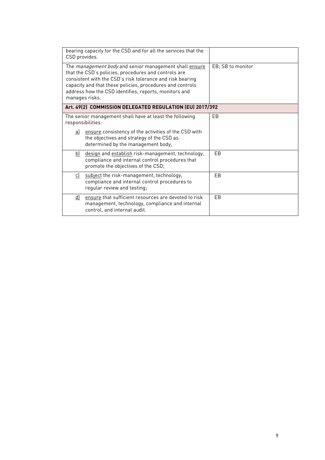| bearing capacity for the CSD and for all the services that the<br>CSD provides.                                                                                                                                                                                                                                            |                   |  |  |  |
|----------------------------------------------------------------------------------------------------------------------------------------------------------------------------------------------------------------------------------------------------------------------------------------------------------------------------|-------------------|--|--|--|
| The <i>management body</i> and senior management shall ensure<br>that the CSD's policies, procedures and controls are<br>consistent with the CSD's risk tolerance and risk bearing<br>capacity and that these policies, procedures and controls<br>address how the CSD identifies, reports, monitors and<br>manages risks. | EB; SB to monitor |  |  |  |
| Art. 49(2) COMMISSION DELEGATED REGULATION (EU) 2017/392                                                                                                                                                                                                                                                                   |                   |  |  |  |
| The senior management shall have at least the following<br>responsibilities:                                                                                                                                                                                                                                               | FB.               |  |  |  |
| a) ensure consistency of the activities of the CSD with<br>the objectives and strategy of the CSD as<br>determined by the management body;                                                                                                                                                                                 |                   |  |  |  |
| b) design and establish risk-management, technology,<br>compliance and internal control procedures that<br>promote the objectives of the CSD;                                                                                                                                                                              | EB                |  |  |  |
| subject the risk-management, technology,<br>c)<br>compliance and internal control procedures to<br>regular review and testing;                                                                                                                                                                                             | EB                |  |  |  |
| ensure that sufficient resources are devoted to risk<br><u>d)</u><br>management, technology, compliance and internal<br>control, and internal audit.                                                                                                                                                                       | <b>FB</b>         |  |  |  |